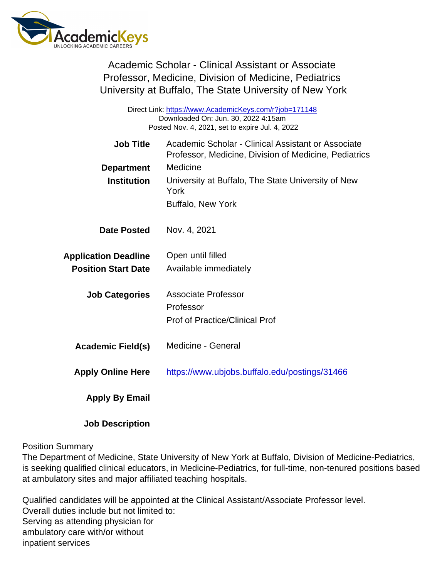Academic Scholar - Clinical Assistant or Associate Professor, Medicine, Division of Medicine, Pediatrics University at Buffalo, The State University of New York

| Direct Link: https://www.AcademicKeys.com/r?job=171148<br>Downloaded On: Jun. 30, 2022 4:15am<br>Posted Nov. 4, 2021, set to expire Jul. 4, 2022 |                                                                                                             |
|--------------------------------------------------------------------------------------------------------------------------------------------------|-------------------------------------------------------------------------------------------------------------|
| Job Title                                                                                                                                        | Academic Scholar - Clinical Assistant or Associate<br>Professor, Medicine, Division of Medicine, Pediatrics |
| Department                                                                                                                                       | Medicine                                                                                                    |
| Institution                                                                                                                                      | University at Buffalo, The State University of New<br>York                                                  |
|                                                                                                                                                  | <b>Buffalo, New York</b>                                                                                    |
| Date Posted                                                                                                                                      | Nov. 4, 2021                                                                                                |
| <b>Application Deadline</b>                                                                                                                      | Open until filled                                                                                           |
| <b>Position Start Date</b>                                                                                                                       | Available immediately                                                                                       |
| <b>Job Categories</b>                                                                                                                            | <b>Associate Professor</b>                                                                                  |
|                                                                                                                                                  | Professor                                                                                                   |
|                                                                                                                                                  | <b>Prof of Practice/Clinical Prof</b>                                                                       |
| Academic Field(s)                                                                                                                                | Medicine - General                                                                                          |
| <b>Apply Online Here</b>                                                                                                                         | https://www.ubjobs.buffalo.edu/postings/31466                                                               |
| Apply By Email                                                                                                                                   |                                                                                                             |
|                                                                                                                                                  |                                                                                                             |

Position Summary

Job Description

The Department of Medicine, State University of New York at Buffalo, Division of Medicine-Pediatrics, is seeking qualified clinical educators, in Medicine-Pediatrics, for full-time, non-tenured positions based at ambulatory sites and major affiliated teaching hospitals.

Qualified candidates will be appointed at the Clinical Assistant/Associate Professor level. Overall duties include but not limited to: Serving as attending physician for ambulatory care with/or without inpatient services